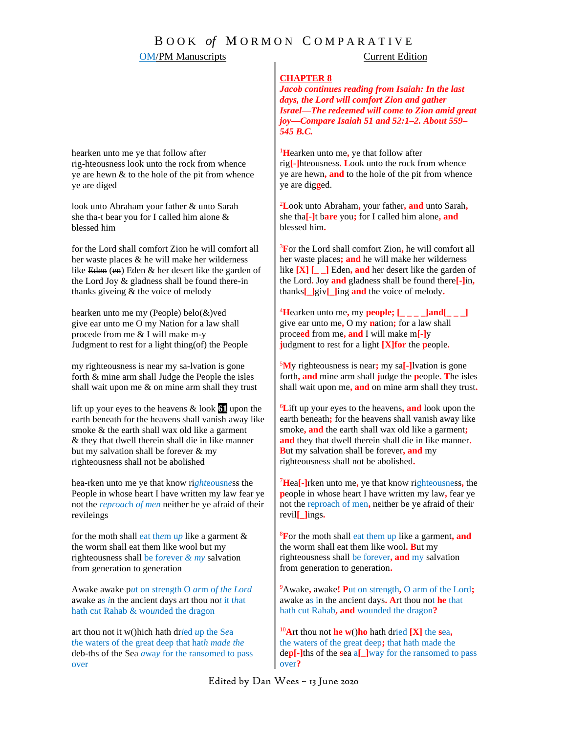## B O O K *of* M O R M O N C O M P A R A T I V E

### **OM/PM Manuscripts** Current Edition

#### **CHAPTER 8**

*Jacob continues reading from Isaiah: In the last days, the Lord will comfort Zion and gather Israel—The redeemed will come to Zion amid great joy—Compare Isaiah 51 and 52:1–2. About 559– 545 B.C.*

<sup>1</sup>**H**earken unto me**,** ye that follow after rig**[-]**hteousness**. L**ook unto the rock from whence ye are hewn**, and** to the hole of the pit from whence ye are dig**g**ed.

<sup>2</sup>**L**ook unto Abraham**,** your father**, and** unto Sarah**,** she tha**[-]**t b**are** you**;** for I called him alone**, and**  blessed him**.** 

<sup>3</sup>**F**or the Lord shall comfort Zion**,** he will comfort all her waste places**; and** he will make her wilderness like **[X] [\_ \_]** Eden**, and** her desert like the garden of the Lord**.** Joy **and** gladness shall be found there**[-]**in**,** thanks**[\_]**giv**[\_]**ing **and** the voice of melody**.**

 $^{4}$ **H**earken unto me, my **people;**  $\left[\underline{\hspace{0.2cm}}\begin{bmatrix} \begin{matrix} 1 & 0 \\ 0 & \end{matrix} \end{bmatrix}$ **and** $\left[\underline{\hspace{0.2cm}}\begin{matrix} 1 & 0 \\ 0 & \end{matrix} \right]$ give ear unto me**,** O my **n**ation**;** for a law shall proce**ed** from me**, and** I will make m**[-]**y **j**udgment to rest for a light **[X]for** the **p**eople**.**

<sup>5</sup>**M**y righteousness is near**;** my sa**[-]**lvation is gone forth**, and** mine arm shall **j**udge the **p**eople**. T**he isles shall wait upon me**, and** on mine arm shall they trust**.**

<sup>6</sup>**L**ift up your eyes to the heavens**, and** look upon the earth beneath**;** for the heavens shall vanish away like smoke**, and** the earth shall wax old like a garment**; and** they that dwell therein shall die in like manner**. B**ut my salvation shall be forever**, and** my righteousness shall not be abolished**.**

<sup>7</sup>**H**ea**[-]**rken unto me**,** ye that know righteousness**,** the **p**eople in whose heart I have written my law**,** fear ye not the reproach of men**,** neither be ye afraid of their revil**[\_]**ings**.**

<sup>8</sup>**F**or the moth shall eat them up like a garment**, and** the worm shall eat them like wool**. B**ut my righteousness shall be forever**, and** my salvation from generation to generation**.**

<sup>9</sup>Awake**,** awake**! P**ut on strength**,** O arm of the Lord**;** awake as in the ancient days**. A**rt thou not **he** that hath cut Rahab**, and** wounded the dragon**?**

<sup>10</sup>**A**rt thou not **he w**()**ho** hath dried **[X]** the **s**ea**,** the waters of the great deep**;** that hath made the de**p[-]**ths of the **s**ea a**[\_]**way for the ransomed to pass over**?**

hearken unto me ye that follow after rig-hteousness look unto the rock from whence ye are hewn & to the hole of the pit from whence ye are diged

look unto Abraham your father & unto Sarah she tha-t bear you for I called him alone & blessed him

for the Lord shall comfort Zion he will comfort all her waste places & he will make her wilderness like Ed*e*n (en) Eden & her desert like the garden of the Lord Joy & gladness shall be found there-in thanks giveing & the voice of melody

hearken unto me my (People)  $\text{bele}(\&) \text{ved}$ give ear unto me O my Nation for a law shall procede from me & I will make m-y Judgment to rest for a light thing(of) the People

my righteousness is near my sa-lvation is gone forth & mine arm shall Judge the People the isles shall wait upon me & on mine arm shall they trust

lift up your eyes to the heavens & look **61** upon the earth beneath for the heavens shall vanish away like smoke & the earth shall wax old like a garment & they that dwell therein shall die in like manner but my salvation shall be forever & my righteousness shall not be abolished

hea-rken unto me ye that know ri*ght*e*o*usn*e*ss the People in whose heart I have written my law fear ye not the *reproac*h *of men* neither be ye afraid of their revileings

for the moth shall eat th*e*m u*p* like a garment & the worm shall eat them like wool but my righteousness shall be f*or*ever *& my* salvation from generation to generation

Awake awake p*u*t on *s*trength O *ar*m o*f the Lord* awake as *i*n the ancient days art thou no*t* it t*h*at hath c*u*t Rahab & wo*un*ded the dragon

art thou not it w()hich hath dr*i*ed *u*p the S*e*a t*h*e waters of the great deep that hat*h made the* deb-ths of the Sea *a*wa*y* for the rans*o*med to pass over

Edited by Dan Wees – 13 June 2020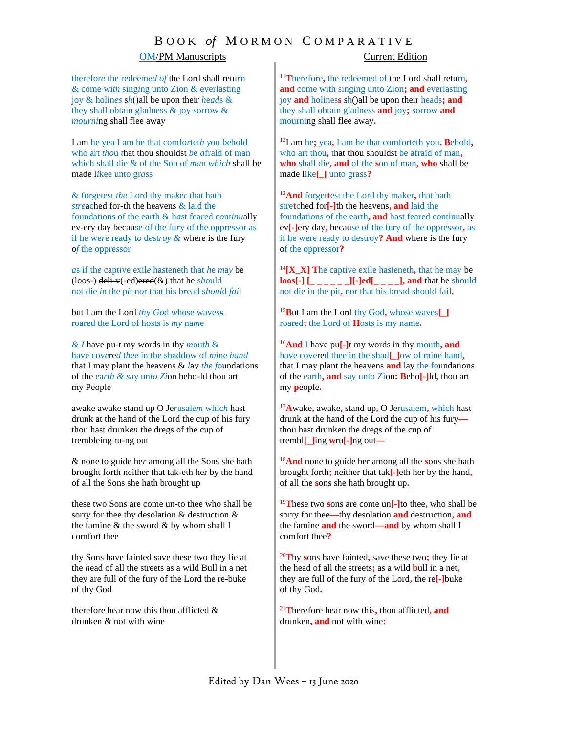## B O O K *of* M O R M O N C O M P A R A T I V E

### OM/PM Manuscripts Current Edition

therefor*e* the redeem*ed of* the Lord shall retu*r*n & come wi*th* sing*i*ng unto Zion & everlasting joy & holin*es* s*h*()all be upon their *h*e*ad*s & they shall obtain gladness & joy sorrow & *mourni*ng shall flee away

I am he yea I am he that comfo*r*tet*h y*ou behold who art *tho*u *t*hat thou shouldst *b*e *a*fraid of man which shall die & of the Son of *ma*n *which* shall be made l*i*kee unto gr*a*ss

& forgetest *the* Lord thy ma*k*e*r* that hath *stre*ached for-th the heavens & laid the f*o*undations of the earth & h*a*st fea*r*ed c*o*nt*inu*ally ev-ery day because of the fu*r*y of the oppre*s*sor as if he we*r*e ready t*o* d*e*st*roy &* where is the fury o*f* the oppre*s*sor

*a*s if th*e* capt*i*ve exil*e* hasteneth that *h*e *m*a*y* be (loos-) deli-v(-ed)ered(&) that he s*h*ould not die *i*n the p*i*t n*o*r that his b*r*ead s*houl*d *fai*l

but I am the Lord *th*y *Go*d *w*hose wavess roared the Lord of hosts is *my* na*m*e

*& I* have pu-t my words in thy *m*out*h* & have cov*e*re*d* t*h*e*e* in the shaddow of *mi*ne *hand* that I may plant the heavens & *l*ay *the f*oundations of the ea*rth & s*ay un*to Zi*on beho-ld thou art my People

awake awake stand up O Je*r*usal*em* whic*h* hast drunk at the hand of the Lord the cup of his fury thou hast drunk*en* the dregs of the cup of trembleing ru-ng out

& none to guide he*r* among all the Sons she hath brought forth neither that tak-eth her by the hand of all the Sons she hath brought up

these two Sons are come un-to thee who shall be sorry for thee thy desolation & destruction & the famine  $\&$  the sword  $\&$  by whom shall I comfort thee

thy Sons have fainted save these two they lie at the *h*ead of all the streets as a wild Bull in a net they are full of the fury of the Lord the re-buke of thy God

therefore hear now this thou afflicted & drunken & not with wine

<sup>11</sup>**T**herefore**,** the redeemed of the Lord shall return**, and** come with singing unto Zion**; and** everlasting joy **and** holines**s** sh()all be upon their heads**; and** they shall obtain gladness **and** joy**;** sorrow **and** mourning shall flee away**.** 

<sup>12</sup>I am he**;** yea**,** I am he that comforteth you**. B**ehold**,**  who art thou**,** that thou shouldst be afraid of man**, who** shall die**, and** of the **s**on of man**, who** shall be made like**[\_]** unto grass**?**

<sup>13</sup>**And** forget**t**est the Lord thy maker**,** that hath stre**t**ched for**[-]**th the heavens**, and** laid the foundations of the earth**, and** hast feared continually ev**[-]**ery day**,** because of the fury of the oppressor**,** as if he were ready to destroy**? And** where is the fury of the oppressor**?**

<sup>14</sup>**[X\_X] T**he captive exile hasteneth**,** that he may be **loos[-] [\_ \_ \_ \_ \_ \_][-]ed[\_ \_ \_ \_], and** that he should not die in the pit**,** nor that his bread should fail**.** 

<sup>15</sup>**B**ut I am the Lord thy God**,** whose waves**[\_]** roared**;** the Lord of **H**osts is my name**.**

<sup>16</sup>**And** I have pu**[-]**t my words in thy mouth**, and**  have covered thee in the shad**[\_]**ow of mine hand**,** that I may plant the heavens **and** lay the foundations of the earth**, and** say unto Zion**: B**eho**[-]**ld**,** thou art my **p**eople**.**

<sup>17</sup>**A**wake**,** awake**,** stand up**,** O Jerusalem**,** which hast drunk at the hand of the Lord the cup of his fury thou hast drunken the dregs of the cup of trembl**[\_]**ing **w**ru**[-]**ng out**—**

<sup>18</sup>**And** none to guide her among all the **s**ons she hath brought forth**;** neither that tak**[-]**eth her by the hand**,**  of all the **s**ons she hath brought up**.**

<sup>19</sup>**T**hese two **s**ons are come un**[-]**to thee**,** who shall be sorry for thee**—**thy desolation **and** destruction**, and**  the famine **and** the sword**—and** by whom shall I comfort thee**?**

<sup>20</sup>**T**hy **s**ons have fainted**,** save these two**;** they lie at the head of all the streets**;** as a wild **b**ull in a net**,**  they are full of the fury of the Lord**,** the re**[-]**buke of thy God**.**

<sup>21</sup>**T**herefore hear now this**,** thou afflicted**, and** drunken**, and** not with wine**:**